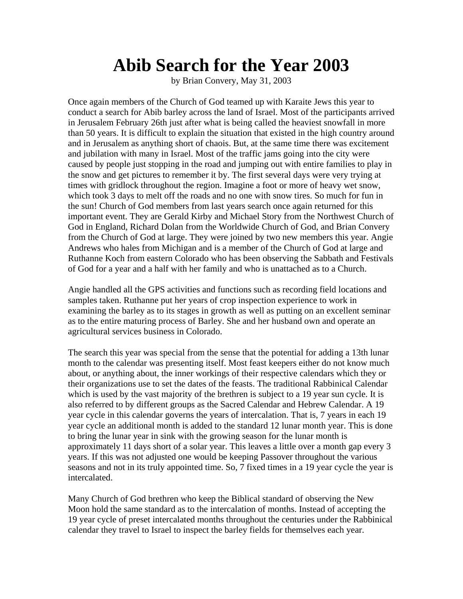## **Abib Search for the Year 2003**

by Brian Convery, May 31, 2003

Once again members of the Church of God teamed up with Karaite Jews this year to conduct a search for Abib barley across the land of Israel. Most of the participants arrived in Jerusalem February 26th just after what is being called the heaviest snowfall in more than 50 years. It is difficult to explain the situation that existed in the high country around and in Jerusalem as anything short of chaois. But, at the same time there was excitement and jubilation with many in Israel. Most of the traffic jams going into the city were caused by people just stopping in the road and jumping out with entire families to play in the snow and get pictures to remember it by. The first several days were very trying at times with gridlock throughout the region. Imagine a foot or more of heavy wet snow, which took 3 days to melt off the roads and no one with snow tires. So much for fun in the sun! Church of God members from last years search once again returned for this important event. They are Gerald Kirby and Michael Story from the Northwest Church of God in England, Richard Dolan from the Worldwide Church of God, and Brian Convery from the Church of God at large. They were joined by two new members this year. Angie Andrews who hales from Michigan and is a member of the Church of God at large and Ruthanne Koch from eastern Colorado who has been observing the Sabbath and Festivals of God for a year and a half with her family and who is unattached as to a Church.

Angie handled all the GPS activities and functions such as recording field locations and samples taken. Ruthanne put her years of crop inspection experience to work in examining the barley as to its stages in growth as well as putting on an excellent seminar as to the entire maturing process of Barley. She and her husband own and operate an agricultural services business in Colorado.

The search this year was special from the sense that the potential for adding a 13th lunar month to the calendar was presenting itself. Most feast keepers either do not know much about, or anything about, the inner workings of their respective calendars which they or their organizations use to set the dates of the feasts. The traditional Rabbinical Calendar which is used by the vast majority of the brethren is subject to a 19 year sun cycle. It is also referred to by different groups as the Sacred Calendar and Hebrew Calendar. A 19 year cycle in this calendar governs the years of intercalation. That is, 7 years in each 19 year cycle an additional month is added to the standard 12 lunar month year. This is done to bring the lunar year in sink with the growing season for the lunar month is approximately 11 days short of a solar year. This leaves a little over a month gap every 3 years. If this was not adjusted one would be keeping Passover throughout the various seasons and not in its truly appointed time. So, 7 fixed times in a 19 year cycle the year is intercalated.

Many Church of God brethren who keep the Biblical standard of observing the New Moon hold the same standard as to the intercalation of months. Instead of accepting the 19 year cycle of preset intercalated months throughout the centuries under the Rabbinical calendar they travel to Israel to inspect the barley fields for themselves each year.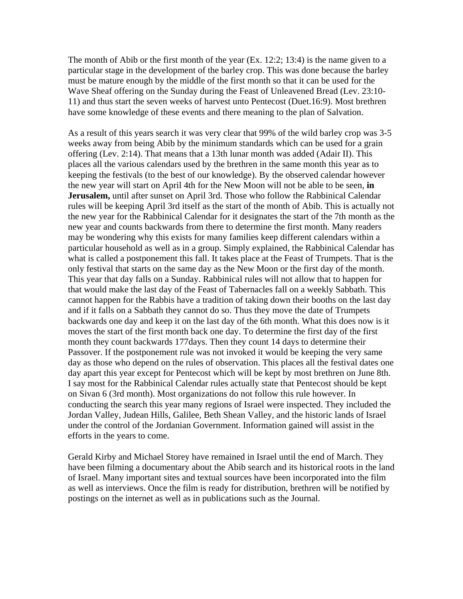The month of Abib or the first month of the year  $(Ex. 12:2; 13:4)$  is the name given to a particular stage in the development of the barley crop. This was done because the barley must be mature enough by the middle of the first month so that it can be used for the Wave Sheaf offering on the Sunday during the Feast of Unleavened Bread (Lev. 23:10- 11) and thus start the seven weeks of harvest unto Pentecost (Duet.16:9). Most brethren have some knowledge of these events and there meaning to the plan of Salvation.

As a result of this years search it was very clear that 99% of the wild barley crop was 3-5 weeks away from being Abib by the minimum standards which can be used for a grain offering (Lev. 2:14). That means that a 13th lunar month was added (Adair II). This places all the various calendars used by the brethren in the same month this year as to keeping the festivals (to the best of our knowledge). By the observed calendar however the new year will start on April 4th for the New Moon will not be able to be seen, **in Jerusalem,** until after sunset on April 3rd. Those who follow the Rabbinical Calendar rules will be keeping April 3rd itself as the start of the month of Abib. This is actually not the new year for the Rabbinical Calendar for it designates the start of the 7th month as the new year and counts backwards from there to determine the first month. Many readers may be wondering why this exists for many families keep different calendars within a particular household as well as in a group. Simply explained, the Rabbinical Calendar has what is called a postponement this fall. It takes place at the Feast of Trumpets. That is the only festival that starts on the same day as the New Moon or the first day of the month. This year that day falls on a Sunday. Rabbinical rules will not allow that to happen for that would make the last day of the Feast of Tabernacles fall on a weekly Sabbath. This cannot happen for the Rabbis have a tradition of taking down their booths on the last day and if it falls on a Sabbath they cannot do so. Thus they move the date of Trumpets backwards one day and keep it on the last day of the 6th month. What this does now is it moves the start of the first month back one day. To determine the first day of the first month they count backwards 177days. Then they count 14 days to determine their Passover. If the postponement rule was not invoked it would be keeping the very same day as those who depend on the rules of observation. This places all the festival dates one day apart this year except for Pentecost which will be kept by most brethren on June 8th. I say most for the Rabbinical Calendar rules actually state that Pentecost should be kept on Sivan 6 (3rd month). Most organizations do not follow this rule however. In conducting the search this year many regions of Israel were inspected. They included the Jordan Valley, Judean Hills, Galilee, Beth Shean Valley, and the historic lands of Israel under the control of the Jordanian Government. Information gained will assist in the efforts in the years to come.

Gerald Kirby and Michael Storey have remained in Israel until the end of March. They have been filming a documentary about the Abib search and its historical roots in the land of Israel. Many important sites and textual sources have been incorporated into the film as well as interviews. Once the film is ready for distribution, brethren will be notified by postings on the internet as well as in publications such as the Journal.